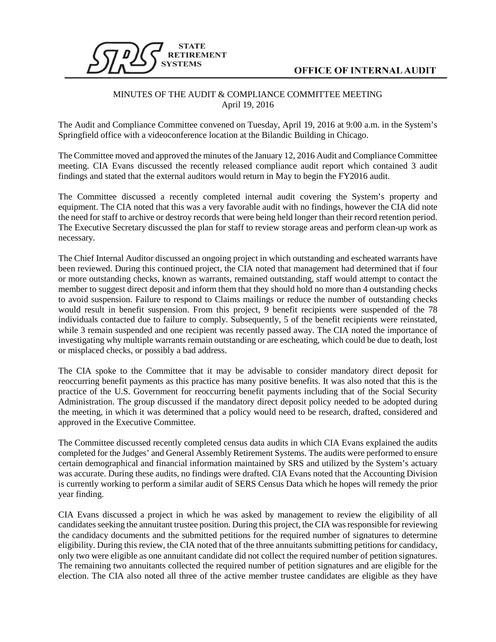

## **OFFICE OF INTERNAL AUDIT**

## MINUTES OF THE AUDIT & COMPLIANCE COMMITTEE MEETING April 19, 2016

The Audit and Compliance Committee convened on Tuesday, April 19, 2016 at 9:00 a.m. in the System's Springfield office with a videoconference location at the Bilandic Building in Chicago.

The Committee moved and approved the minutes of the January 12, 2016 Audit and Compliance Committee meeting. CIA Evans discussed the recently released compliance audit report which contained 3 audit findings and stated that the external auditors would return in May to begin the FY2016 audit.

The Committee discussed a recently completed internal audit covering the System's property and equipment. The CIA noted that this was a very favorable audit with no findings, however the CIA did note the need for staff to archive or destroy records that were being held longer than their record retention period. The Executive Secretary discussed the plan for staff to review storage areas and perform clean-up work as necessary.

The Chief Internal Auditor discussed an ongoing project in which outstanding and escheated warrants have been reviewed. During this continued project, the CIA noted that management had determined that if four or more outstanding checks, known as warrants, remained outstanding, staff would attempt to contact the member to suggest direct deposit and inform them that they should hold no more than 4 outstanding checks to avoid suspension. Failure to respond to Claims mailings or reduce the number of outstanding checks would result in benefit suspension. From this project, 9 benefit recipients were suspended of the 78 individuals contacted due to failure to comply. Subsequently, 5 of the benefit recipients were reinstated, while 3 remain suspended and one recipient was recently passed away. The CIA noted the importance of investigating why multiple warrants remain outstanding or are escheating, which could be due to death, lost or misplaced checks, or possibly a bad address.

The CIA spoke to the Committee that it may be advisable to consider mandatory direct deposit for reoccurring benefit payments as this practice has many positive benefits. It was also noted that this is the practice of the U.S. Government for reoccurring benefit payments including that of the Social Security Administration. The group discussed if the mandatory direct deposit policy needed to be adopted during the meeting, in which it was determined that a policy would need to be research, drafted, considered and approved in the Executive Committee.

The Committee discussed recently completed census data audits in which CIA Evans explained the audits completed for the Judges' and General Assembly Retirement Systems. The audits were performed to ensure certain demographical and financial information maintained by SRS and utilized by the System's actuary was accurate. During these audits, no findings were drafted. CIA Evans noted that the Accounting Division is currently working to perform a similar audit of SERS Census Data which he hopes will remedy the prior year finding.

CIA Evans discussed a project in which he was asked by management to review the eligibility of all candidates seeking the annuitant trustee position. During this project, the CIA wasresponsible for reviewing the candidacy documents and the submitted petitions for the required number of signatures to determine eligibility. During this review, the CIA noted that of the three annuitants submitting petitions for candidacy, only two were eligible as one annuitant candidate did not collect the required number of petition signatures. The remaining two annuitants collected the required number of petition signatures and are eligible for the election. The CIA also noted all three of the active member trustee candidates are eligible as they have